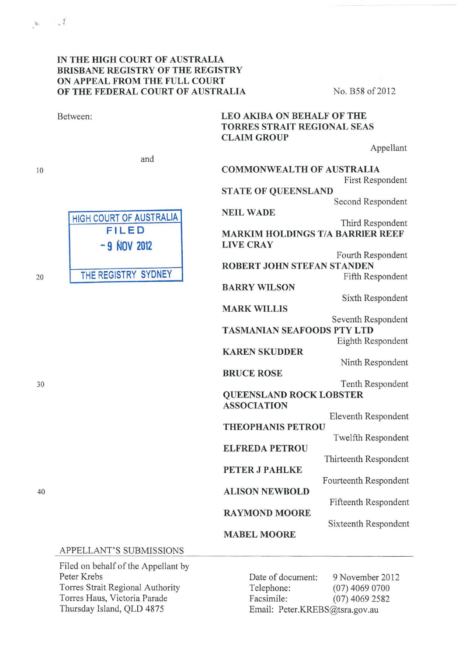| Between:                                                                        | <b>LEO AKIBA ON BEHALF OF THE</b><br>TORRES STRAIT REGIONAL SEAS<br><b>CLAIM GROUP</b> |  |
|---------------------------------------------------------------------------------|----------------------------------------------------------------------------------------|--|
| and                                                                             | Appellant                                                                              |  |
| HIGH COURT OF AUSTRALIA<br><b>FILED</b><br>$-9$ NOV 2012<br>THE REGISTRY SYDNEY | <b>COMMONWEALTH OF AUSTRALIA</b><br>First Respondent                                   |  |
|                                                                                 | <b>STATE OF QUEENSLAND</b><br>Second Respondent                                        |  |
|                                                                                 | <b>NEIL WADE</b><br>Third Respondent                                                   |  |
|                                                                                 | <b>MARKIM HOLDINGS T/A BARRIER REEF</b><br><b>LIVE CRAY</b>                            |  |
|                                                                                 | Fourth Respondent<br>ROBERT JOHN STEFAN STANDEN                                        |  |
|                                                                                 | Fifth Respondent<br><b>BARRY WILSON</b><br>Sixth Respondent                            |  |
|                                                                                 | <b>MARK WILLIS</b><br>Seventh Respondent                                               |  |
|                                                                                 | <b>TASMANIAN SEAFOODS PTY LTD</b><br>Eighth Respondent                                 |  |
|                                                                                 | <b>KAREN SKUDDER</b><br>Ninth Respondent                                               |  |
|                                                                                 | <b>BRUCE ROSE</b><br>Tenth Respondent                                                  |  |
|                                                                                 | <b>QUEENSLAND ROCK LOBSTER</b><br><b>ASSOCIATION</b>                                   |  |
|                                                                                 | Eleventh Respondent<br><b>THEOPHANIS PETROU</b>                                        |  |
|                                                                                 | Twelfth Respondent<br><b>ELFREDA PETROU</b><br>Thirteenth Respondent                   |  |
|                                                                                 | PETER J PAHLKE<br>Fourteenth Respondent                                                |  |
|                                                                                 | <b>ALISON NEWBOLD</b><br>Fifteenth Respondent                                          |  |
|                                                                                 | <b>RAYMOND MOORE</b><br>Sixteenth Respondent                                           |  |
|                                                                                 | <b>MABEL MOORE</b>                                                                     |  |
| APPELLANT'S SUBMISSIONS                                                         |                                                                                        |  |
| Filed on behalf of the Appellant by                                             |                                                                                        |  |

Filed on behalf Peter Krebs Torres Strait Regional Authority Torres Haus, Victoria Parade Thursday Island, QLD 4875

20

10

 $\mathbf{w} = \mathbf{v}^T$ 

30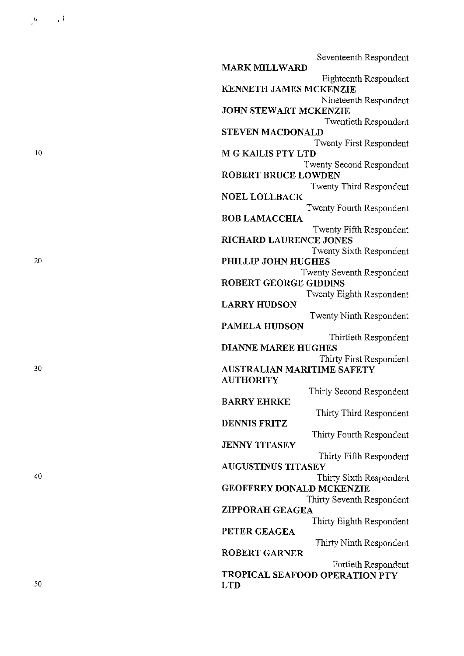| Seventeenth Respondent                                   |
|----------------------------------------------------------|
| <b>MARK MILLWARD</b>                                     |
| Eighteenth Respondent                                    |
| <b>KENNETH JAMES MCKENZIE</b>                            |
| Nineteenth Respondent                                    |
| JOHN STEWART MCKENZIE                                    |
| Twentieth Respondent                                     |
| <b>STEVEN MACDONALD</b>                                  |
| Twenty First Respondent                                  |
| M G KAILIS PTY LTD                                       |
| Twenty Second Respondent                                 |
| <b>ROBERT BRUCE LOWDEN</b>                               |
| Twenty Third Respondent                                  |
| <b>NOEL LOLLBACK</b>                                     |
| Twenty Fourth Respondent                                 |
| <b>BOB LAMACCHIA</b>                                     |
| Twenty Fifth Respondent<br><b>RICHARD LAURENCE JONES</b> |
| Twenty Sixth Respondent                                  |
| PHILLIP JOHN HUGHES                                      |
| Twenty Seventh Respondent                                |
| <b>ROBERT GEORGE GIDDINS</b>                             |
| Twenty Eighth Respondent                                 |
| <b>LARRY HUDSON</b>                                      |
| Twenty Ninth Respondent                                  |
| <b>PAMELA HUDSON</b>                                     |
| Thirtieth Respondent                                     |
| <b>DIANNE MAREE HUGHES</b>                               |
| Thirty First Respondent                                  |
| AUSTRALIAN MARITIME SAFETY                               |
| <b>AUTHORITY</b>                                         |
| Thirty Second Respondent                                 |
| <b>BARRY EHRKE</b>                                       |
| Thirty Third Respondent                                  |
| <b>DENNIS FRITZ</b>                                      |
| Thirty Fourth Respondent                                 |
| <b>JENNY TITASEY</b>                                     |
| Thirty Fifth Respondent                                  |
| AUGUSTINUS TITASEY                                       |
| Thirty Sixth Respondent                                  |
| <b>GEOFFREY DONALD MCKENZIE</b>                          |
| Thirty Seventh Respondent                                |
| ZIPPORAH GEAGEA                                          |
| Thirty Eighth Respondent                                 |
| PETER GEAGEA                                             |
| Thirty Ninth Respondent<br><b>ROBERT GARNER</b>          |
|                                                          |
| Fortieth Respondent<br>TROPICAL SEAFOOD OPERATION PTY    |
| <b>LTD</b>                                               |
|                                                          |

10

 $\begin{array}{ccccc} & & & & & & \\ & & & & & & \\ \bullet & & & & & & \\ \bullet & & & & & & \\ \end{array}$ 

20

30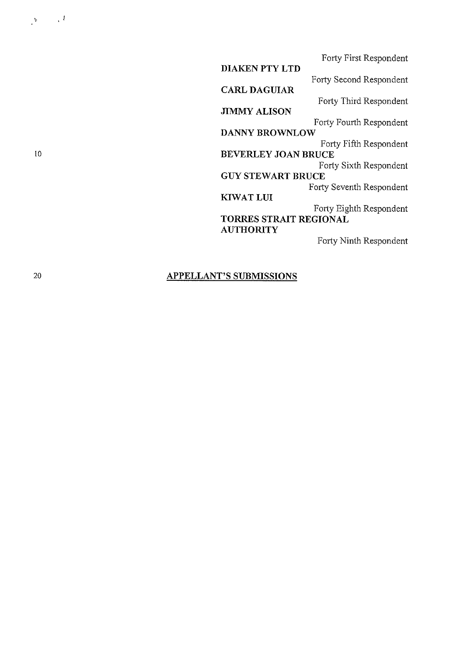Forty First Respondent **DIAKEN PTY LTD**  Forty Second Respondent **CARL DAGUIAR**  Forty Third Respondent **JIMMY ALISON**  Forty Fourth Respondent **DANNY BROWNLOW**  Forty Fifth Respondent **BEVERLEY JOAN BRUCE**  Forty Sixth Respondent **GUY STEWART BRUCE**  Forty Seventh Respondent **KIWATLUI**  Forty Eighth Respondent **TORRES STRAIT REGIONAL AUTHORITY** 

Forty Ninth Respondent

## **APPELLANT'S SUBMISSIONS**

 $\mathbf{y} = -\sqrt{k}$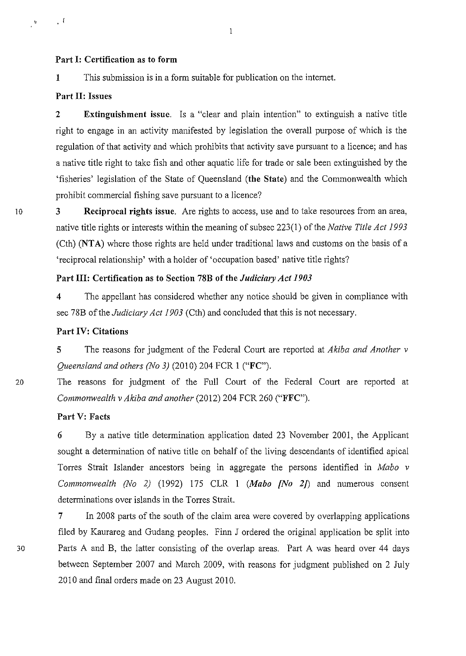## **Part 1: Certification as to form**

**1** *This* submission is in a form suitable for publication on the internet.

## **Part II: Issues**

 $\cdot$  1

 $\ddot{\phantom{a}}$ 

**2 Extinguishment issue.** Is a "clear and plain intention" to extinguish a native title right to engage in an activity manifested by legislation the overall purpose of which is the regulation of that activity and which prohibits that activity save pursuant to a licence; and has a native title right to take fish and other aquatic life for trade or sale been extinguished by the 'fisheries' legislation of the State of Queensland **(the State)** and the Commonwealth which prohibit commercial fishing save pursuant to a licence?

 $\mathbf{1}$ 

10 **3 Reciprocal rights issue.** Are rights to access, use and to take resources from an area, native title rights or interests within the meaning of sub sec 223(1) of the *Native Title Act 1993*  (Cth) **(NT A)** where those rights are held under traditional laws and customs on the basis of a 'reciprocal relationship' with a holder of 'occupation based' native title rights?

## **Part III: Certification as to Section 78B of the** *Judicimy Act 1903*

**4** The appellant has considered whether any notice should be given in compliance with sec 78B of the *Judiciary Act 1903* (Cth) and concluded that this is not necessary.

#### **Part IV: Citations**

**5** The reasons for judgment of the Federal Court are reported at *Akiba and Another v Queensland and others (No 3)* (2010) 204 FCR **1 ("FC").** 

20 The reasons for judgment of the Full Court of the Federal Court are reported at *Commonwealth v Akiba and another* (2012) 204 FCR 260 **("FFC").** 

#### **Part V: Facts**

**6** By a native title determination application dated 23 November 2001, the Applicant sought a determination of native title on behalf of the living descendants of identified apical Torres Strait Islander ancestors being in aggregate the persons identified in *Mabo v Commonwealth (No 2)* (1992) 175 CLR **1** *(Mabo [No 2])* and numerous consent determinations over islands in the Torres Strait.

**7** In 2008 parts of the south of the claim area were covered by overlapping applications filed by Kaurareg and Gudang peoples. Finn J ordered the original application be split into 30 Parts A and B, the latter consisting of the overlap areas. Part A was heard over 44 days between September 2007 and March 2009, with reasons for judgment published on 2 July 2010 and final orders made on 23 August 2010.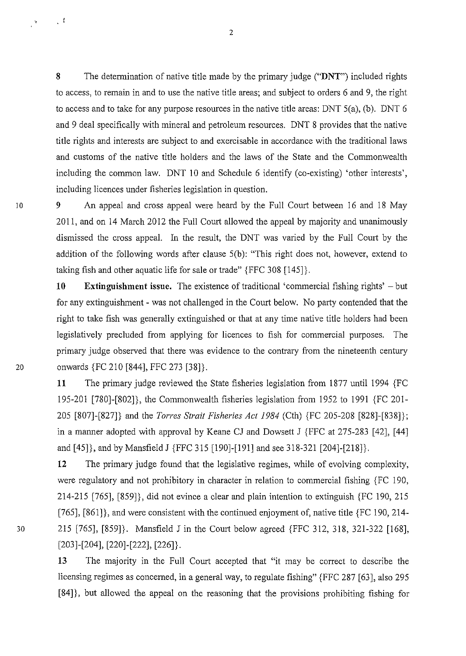**8** The determination of native title made by the primary judge **("DNT")** included rights to access, to remain in and to use the native title areas; and subject to orders 6 and 9, the right to access and to take for any purpose resources in the native title areas: DNT 5(a), (b). DNT 6 and 9 deal specifically with mineral and petroleum resources. DNT 8 provides that the native title rights and interests are subject to and exercisable in accordance with the traditional laws and customs of the native title holders and the laws of the State and the Commonwealth including the common law. DNT 10 and Schedule 6 identify (co-existing) 'other interests', including licences under fisheries legislation in question.

10 9 An appeal and cross appeal were heard by the Full Court between 16 and 18 May 2011, and on 14 March 2012 the Full Court allowed the appeal by majority and unanimously dismissed the cross appeal. In the result, the DNT was varied by the Full Court by the addition of the following words after clause 5(b): "This right does not, however, extend to taking fish and other aquatic life for sale or trade" {FFC 308 [145]}.

**10** Extinguishment issue. The existence of traditional 'commercial fishing rights' – but for any extinguishment- was not challenged in the Court below. No party contended that the right to take fish was generally extinguished or that at any time native title holders had been legislatively precluded from applying for licences to fish for commercial purposes. The primary judge observed that there was evidence to the contrary from the nineteenth century 20 onwards {FC 210 [844], FFC 273 [38]}.

> **11** The primary judge reviewed the State fisheries legislation from 1877 until 1994 {FC 195-201 [780]-[802]}, the Commonwealth fisheries legislation from 1952 to 1991 {FC 201- 205 [807]-[827]} and the *Torres Strait Fisheries Act 1984* (Cth) {FC 205-208 [828]-[838]}; in a manner adopted with approval by Keane CJ and Dowsett J {FFC at 275-283 [42], [44] and [45]}, and by Mansfield J {FFC 315 [190]-[191] and see 318-321 [204]-[218]}.

**12** The primary judge found that the legislative regimes, while of evolving complexity, were regulatory and not prohibitory in character in relation to commercial fishing {FC 190, 214-215 [765], [859]}, did not evince a clear and plain intention to extinguish {FC 190, 215 [765], [861]}, and were consistent with the continued enjoyment of, native title {FC 190, 214- 30 215 [765], [859]}. Mansfield J in the Court below agreed {FFC 312, 318, 321-322 [168], [203]-[204], [220]-[222], [226]}.

> 13 The majority in the Full Court accepted that "it may be correct to describe the licensing regimes as concerned, in a general way, to regulate fishing" {FFC 287 [63], also 295 [84]}, but allowed the appeal on the reasoning that the provisions prohibiting fishing for

2

 $\sim$  1

 $\frac{1}{\sqrt{2}}$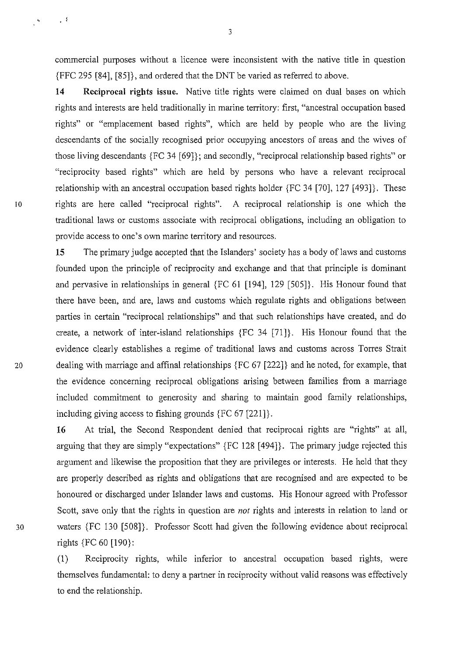commercial purposes without a licence were inconsistent with the native title in question {FFC 295 [84], [85]}, and ordered that the DNT be varied as referred to above.

**14 Reciprocal rights issue.** Native title rights were claimed on dual bases on which rights and interests are held traditionally in marine territory: first, "ancestral occupation based rights" or "emplacement based rights", which are held by people who are the living descendants of the socially recognised prior occupying ancestors of areas and the wives of those living descendants {FC 34 [69]}; and secondly, "reciprocal relationship based rights" or "reciprocity based rights" which are held by persons who have a relevant reciprocal relationship with an ancestral occupation based rights holder {FC 34 [70], 127 [493]}. These 10 rights are here called "reciprocal rights". A reciprocal relationship is one which the traditional laws or customs associate with reciprocal obligations, including an obligation to provide access to one's own marine territory and resources.

**15** The primary judge accepted that the Islanders' society has a body of laws and customs founded upon the principle of reciprocity and exchange and that that principle is dominant and pervasive in relationships in general {FC 61 [194], 129 [505]}. His Honour found that there have been, and are, laws and customs which regulate rights and obligations between parties in certain "reciprocal relationships" and that such relationships have created, and do create, a network of inter-island relationships {FC 34 [71]}. His Honour found that the evidence clearly establishes a regime of traditional laws and customs across Torres Strait 20 dealing with marriage and affinal relationships {FC 67 [222]} and he noted, for example, that the evidence concerning reciprocal obligations arising between families from a marriage included commitment to generosity and sharing to maintain good family relationships, including giving access to fishing grounds {FC 67 [221]}.

16 At trial, the Second Respondent denied that reciprocal rights are "rights" at all, arguing that they are simply "expectations" {FC 128 [494]}. The primary judge rejected this argument and likewise the proposition that they are privileges or interests. He held that they are properly described as rights and obligations that are recognised and are expected to be honoured or discharged under Islander laws and customs. His Honour agreed with Professor Scott, save only that the rights in question are *not* rights and interests in relation to land or 30 waters {FC 130 [508]}. Professor Scott had given the following evidence about reciprocal rights {FC 60 [190}:

> (I) Reciprocity rights, while inferior to ancestral occupation based rights, were themselves fundamental: to deny a partner in reciprocity without valid reasons was effectively to end the relationship.

3

 $\begin{matrix} \mathbf{a}_1 & \cdots & \mathbf{b}_n \\ \mathbf{b}_2 & \cdots & \mathbf{b}_n \end{matrix}$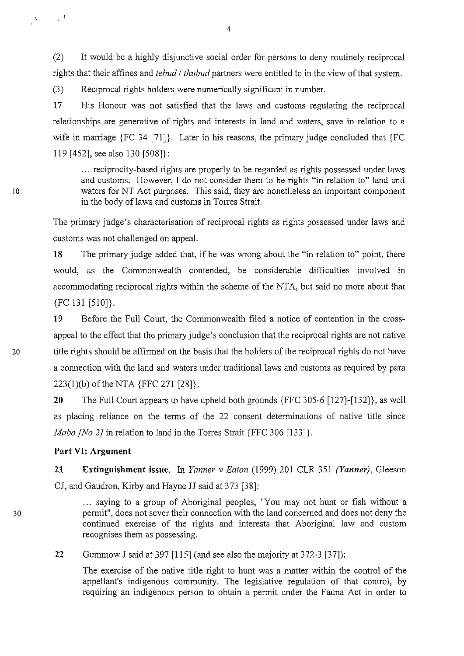(2) It would be a highly disjunctive social order for persons to deny routinely reciprocal rights that their affines and *tebud I thubud* partners were entitled to in the view of that system.

(3) Reciprocal rights holders were numerically significant in number.

**17** His Honour was not satisfied that the laws and customs regulating the reciprocal relationships are generative of rights and interests in land and waters, save in relation to a wife in marriage {FC 34 [71]}. Later in his reasons, the primary judge concluded that {FC 119 [452], see also 130 [508]}:

... reciprocity-based rights are properly to be regarded as rights possessed under laws and customs. However, I do not consider them to be rights "in relation to" land and waters for NT Act purposes. This said, they are nonetheless an important component in the body of laws and customs in Torres Strait.

The primary judge's characterisation of reciprocal rights as rights possessed under laws and customs was not challenged on appeal.

**18** The primary judge added that, if he was wrong about the "in relation to" point, there would, as the Commonwealth contended, be considerable difficulties involved in accommodating reciprocal rights within the scheme of the NTA, but said no more about that {FC 131 [510]}.

19 Before the Full Court, the Commonwealth filed a notice of contention in the crossappeal to the effect that the primary judge's conclusion that the reciprocal rights are not native 20 title rights should be affirmed on the basis that the holders of the reciprocal rights do not have a connection with the land and waters under traditional laws and customs as required by para 223(l)(b) of the NTA {FFC 271 [28]}.

> **20** The Full Court appears to have upheld both grounds {FFC 305-6 [127]-[132]}, as well as placing reliance on the terms of the 22 consent determinations of native title since *Mabo [No 2}* in relation to land in the Torres Strait {FFC 306 [133]}.

### **Part VI: Argument**

**21 Extinguishment issue.** In *Yanner v Eaton* (1999) 201 CLR 351 *(Yanner)*, Gleeson CJ, and Gaudron, Kirby and Hayne JJ said at 373 [38]:

... saying to a group of Aboriginal peoples, "You may not hunt or fish without a permit", does not sever their connection with the land concerned and does not deny the continued exercise of the rights and interests that Aboriginal law and custom recognises them as possessing.

**22**  Gummow J said at 397 [115] (and see also the majority at 372-3 [37]):

The exercise of the native title right to hunt was a matter within the control of the appellant's indigenous community. The legislative regulation of that control, by requiring an indigenous person to obtain a permit under the Fauna Act in order to

10

 $\frac{Q}{T}$ 

 $\Box$ 

30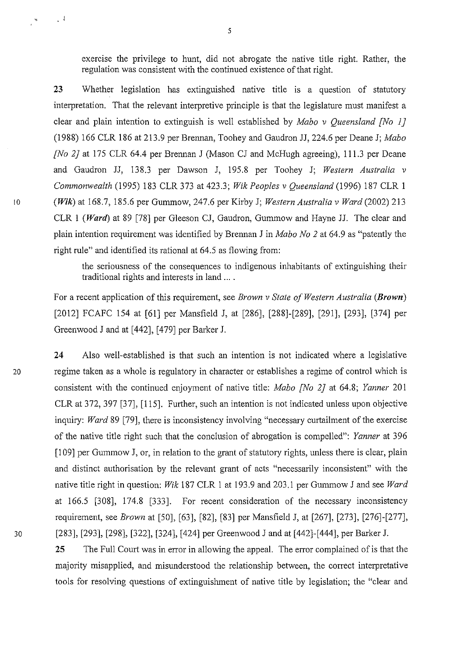exercise the privilege to hunt, did not abrogate the native title right. Rather, the regulation was consistent with the continued existence of that right.

**23** Whether legislation has extinguished native title is a question of statutory interpretation. That the relevant interpretive principle is that the legislature must manifest a clear and plain intention to extinguish is well established by *Mabo v Queensland {No 1]*  (1988) 166 CLR 186 at 213.9 per Brennan, Toohey and Gaudron JJ, 224.6 per Deane J; *Mabo [No 2]* at 175 CLR 64.4 per Brennan J (Mason CJ and McHugh agreeing), 111.3 per Deane and Gaudron JJ, 138.3 per Dawson J, 195.8 per Toohey J; *Western Australia v Commonwealth* (1995) 183 CLR 373 at 423.3; *Wik Peoples v Queensland* (1996) 187 CLR I <sup>10</sup>**(Wik)** at 168.7, 185.6 per Gummow, 247.6 per Kirby J; *Western Australia v Ward* (2002) 213 CLR I *(Ward)* at 89 [78] per Gleeson CJ, Gaudron, Gummow and Hayne JJ. The clear and plain intention requirement was identified by Brennan J in *Mabo No 2* at 64.9 as "patently the right rule" and identified its rational at 64.5 as flowing from:

> the seriousness of the consequences to indigenous inhabitants of extinguishing their traditional rights and interests in land ....

For a recent application of this requirement, see *Brown v State of Western Australia (Brown)*  [2012] FCAFC 154 at [61] per Mansfield J, at [286], [288]-[289], [291], [293], [374] per Greenwood J and at [442], [479] per Barker J.

**24** Also well-established is that such an intention is not indicated where a legislative 20 regime taken as a whole is regulatory in character or establishes a regime of control which is consistent with the continued enjoyment of native title: *Mabo [No 2}* at 64.8; *Yanner* 201 CLR at 372, 397 [37], [115]. Further, such an intention is not indicated unless upon objective inquiry: *Ward* 89 [79], there is inconsistency involving "necessary curtailment of the exercise of the native title right such that the conclusion of abrogation is compelled": *Yanner* at 396 [109] per Gummow J, or, in relation to the grant of statutory rights, unless there is clear, plain and distinct authorisation by the relevant grant of acts "necessarily inconsistent" with the native title right in question: *Wik* 187 CLR I at 193.9 and 203.1 per Gummow J and see *Ward*  at 166.5 [308], 174.8 [333]. For recent consideration of the necessary inconsistency requirement, see *Brown* at [50], [63], [82], [83] per Mansfield J, at [267], [273], [276]-[277], 30 [283], [293], [298], [322], [324], [424] per Greenwood J and at [442]-[444], per Barker J.

> **25** The Full Court was in error in allowing the appeal. The error complained of is that the majority misapplied, and misunderstood the relationship between, the correct interpretative tools for resolving questions of extinguishment of native title by legislation; the "clear and

 $\rightarrow$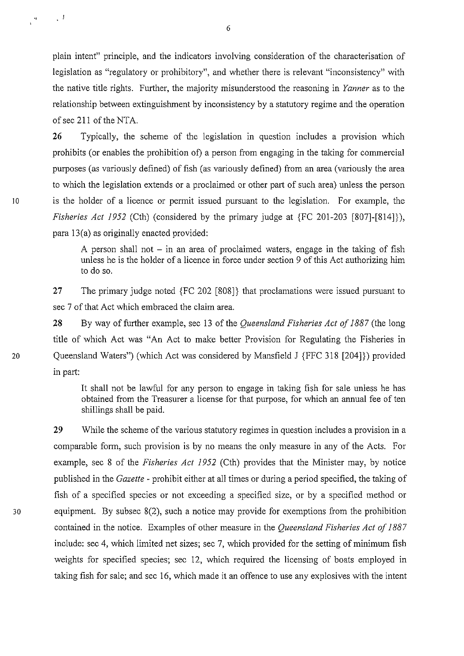plain intent" principle, and the indicators involving consideration of the characterisation of legislation as "regulatory or prohibitory", and whether there is relevant "inconsistency" with the native title rights. Further, the majority misunderstood the reasoning in *Yanner* as to the relationship between extinguishment by inconsistency by a statutory regime and the operation of sec 211 of the NTA.

26 Typically, the scheme of the legislation in question includes a provision which prohibits (or enables the prohibition of) a person from engaging in the taking for commercial purposes (as variously defined) of fish (as variously defined) from an area (variously the area to which the legislation extends or a proclaimed or other part of such area) unless the person 10 is the holder of a licence or permit issued pursuant to the legislation. For example, the *Fisheries Act 1952* (Cth) (considered by the primary judge at {FC 201-203 [807]-[814]}), para l3(a) as originally enacted provided:

> A person shall not  $-$  in an area of proclaimed waters, engage in the taking of fish unless he is the holder of a licence in force under section 9 of this Act authorizing him to do so.

27 The primary judge noted {FC 202 [808]} that proclamations were issued pursuant to sec 7 of that Act which embraced the claim area.

28 By way of further example, sec l3 of the *Queensland Fisheries Act of 1887* (the long title of which Act was "An Act to make better Provision for Regulating the Fisheries in 20 Queensland Waters") (which Act was considered by Mansfield J {FFC 318 [204]}) provided in part:

> It shall not be lawful for any person to engage in taking fish for sale unless he has obtained from the Treasurer a license for that purpose, for which an annual fee of ten shillings shall be paid.

29 While the scheme of the various statutory regimes in question includes a provision in a comparable form, such provision is by no means the only measure in any of the Acts. For example, sec 8 of the *Fisheries Act 1952* (Cth) provides that the Minister may, by notice published in the *Gazette* - prohibit either at all times or during a period specified, the taking of fish of a specified species or not exceeding a specified size, or by a specified method or 30 equipment. By subsec 8(2), such a notice may provide for exemptions from the prohibition contained in the notice. Examples of other measure in the *Queensland Fisheries Act of 1887*  include: sec 4, which limited net sizes; sec 7, which provided for the setting of minimum fish weights for specified species; sec 12, which required the licensing of boats employed in taking fish for sale; and sec 16, which made it an offence to use any explosives with the intent

 $\frac{1}{4}$ 

 $\frac{1}{k}$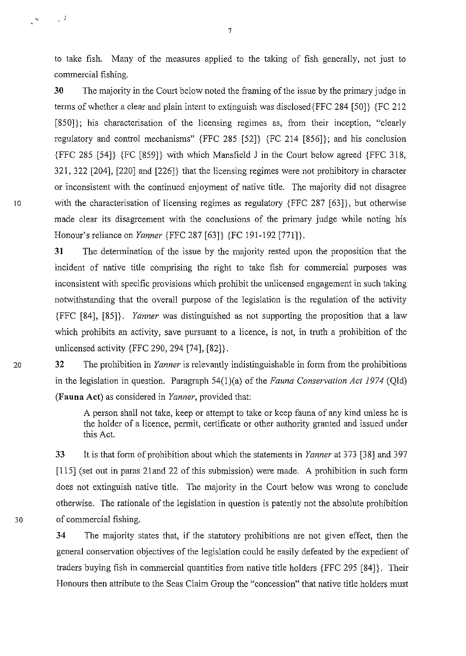to take fish. Many of the measures applied to the taking of fish generally, not just to commercial fishing.

**30** The majority in the Court below noted the framing of the issue by the primary judge in terms of whether a clear and plain intent to extinguish was disclosed{FFC 284 [50]} {FC 212 [850]); his characterisation of the licensing regimes as, from their inception, "clearly regulatory and control mechanisms" {FFC 285 [52]} {FC 214 [856]}; and his conclusion {FFC 285 [54]} {FC [859]} with which Mansfield J in the Court below agreed {FFC 318, 321, 322 [204], [220] and [226]} that the licensing regimes were not prohibitory in character or inconsistent with the continued enjoyment of native title. The majority did not disagree 10 with the characterisation of licensing regimes as regulatory {FFC 287 [63]}, but otherwise made clear its disagreement with the conclusions of the primary judge while noting his Honour's reliance on *Yanner* {FFC 287 [63]} {FC 191-192 [771]}.

> **31** The determination of the issue by the majority rested upon the proposition that the incident of native title comprising the right to take fish for commercial purposes was inconsistent with specific provisions which prohibit the unlicensed engagement in such taking notwithstanding that the overall purpose of the legislation is the regulation of the activity {FFC [84], [85]}. *Yanner* was distinguished as not supporting the proposition that a law which prohibits an activity, save pursuant to a licence, is not, in truth a prohibition of the unlicensed activity {FFC 290, 294 [74], [82]}.

20 32 The prohibition in *Yanner* is relevantly indistinguishable in form from the prohibitions in the legislation in question. Paragraph 54(l)(a) of the *Fauna Conservation Act 1974* (Qld) **(Fauna Act)** as considered in *Yanner,* provided that:

> A person shall not take, keep or attempt to take or keep fauna of any kind unless he is the holder of a licence, permit, certificate or other authority granted and issued under this Act.

33 It is that form of prohibition about which the statements in *Yanner* at 373 [38] and 397 [115] (set out in paras 2land 22 of this submission) were made. A prohibition in such form does not extinguish native title. The majority in the Court below was wrong to conclude otherwise. The rationale of the legislation in question is patently not the absolute prohibition 30 of commercial fishing.

> **34** The majority states that, if the statutory prohibitions are not given effect, then the general conservation objectives of the legislation could be easily defeated by the expedient of traders buying fish in commercial quantities from native title holders {FFC 295 [84]}. Their Honours then attribute to the Seas Claim Group the "concession" that native title holders must

 $\mathcal{L}^{\mathcal{L}}$ 

 $\frac{d\phi}{dt}$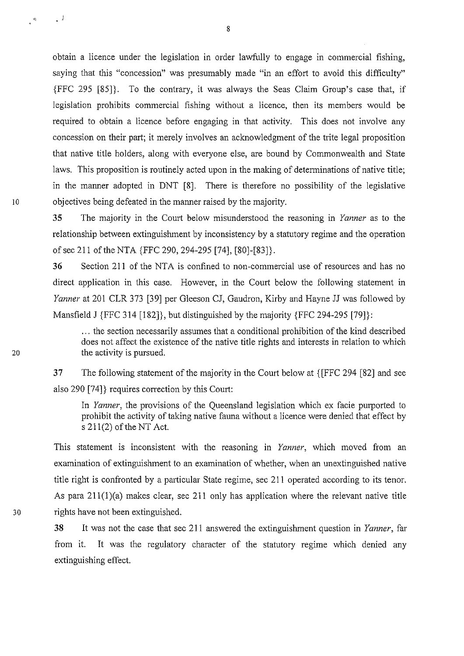obtain a licence under the legislation in order lawfully to engage in commercial fishing, saying that this "concession" was presumably made "in an effort to avoid this difficulty" {FFC 295 [85]}. To the contrary, it was always the Seas Claim Group's case that, if legislation prohibits commercial fishing without a licence, then its members would be required to obtain a licence before engaging in that activity. This does not involve any concession on their part; it merely involves an acknowledgment of the trite legal proposition that native title holders, along with everyone else, are bound by Commonwealth and State laws. This proposition is routinely acted upon in the making of determinations of native title; in the manner adopted in DNT [8]. There is therefore no possibility of the legislative 10 objectives being defeated in the manner raised by the majority.

> **35** The majority in the Court below misunderstood the reasoning in *Yanner* as to the relationship between extinguishment by inconsistency by a statutory regime and the operation of sec 211 of the NTA {FFC 290,294-295 [74], [80]-[83]}.

> **36** Section 211 of the NT A is confined to non-commercial use of resources and has no direct application in this case. However, in the Court below the following statement in *Yanner* at 201 CLR 373 [39] per Gleeson CJ, Gaudron, Kirby and Hayne JJ was followed by Mansfield J {FFC 314 [182]}, but distinguished by the majority {FFC 294-295 [79]}:

... the section necessarily assumes that a conditional prohibition of the kind described does not affect the existence of the native title rights and interests in relation to which the activity is pursued.

**37**  The following statement of the majority in the Court below at { [FFC 294 [82] and see also 290  $[74]$  requires correction by this Court:

In *Yanner,* the provisions of the Queensland legislation which ex facie purported to prohibit the activity of taking native fauna without a licence were denied that effect by s  $211(2)$  of the NT Act.

This statement is inconsistent with the reasoning in *Yanner*, which moved from an examination of extinguishment to an examination of whether, when an unextinguished native title right is confronted by a particular State regime, sec 211 operated according to its tenor. As para 211(1)(a) makes clear, sec 211 only has application where the relevant native title 30 rights have not been extinguished.

> **38** It was not the case that sec 211 answered the extinguishment question in *Yanner,* far from it. It was the regulatory character of the statutory regime which denied any extinguishing effect.

8

 $\frac{1}{\sqrt{2}}$ 

 $\mathbb{R}^d$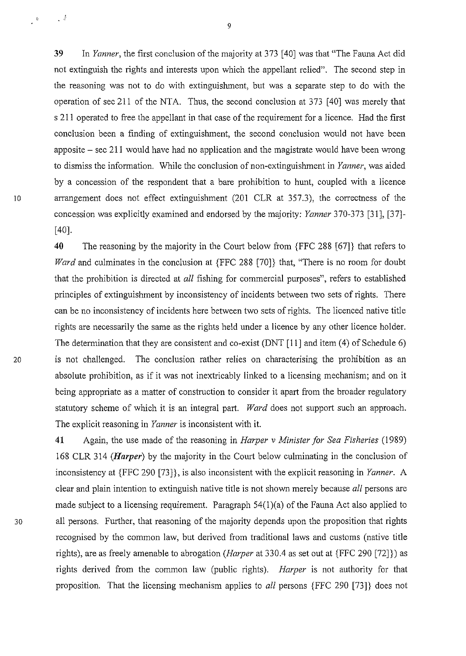39 In *Yanner,* the first conclusion of the majority at 373 [40] was that "The Fauna Act did not extinguish the rights and interests upon which the appellant relied". The second step in the reasoning was not to do with extinguishment, but was a separate step to do with the operation of sec 211 of the NTA. Thus, the second conclusion at 373 [40] was merely that s 211 operated to free the appellant in that case of the requirement for a licence. Had the first conclusion been a finding of extinguishment, the second conclusion would not have been apposite  $-$  sec 211 would have had no application and the magistrate would have been wrong to dismiss the information. While the conclusion of non-extinguishment in *Yanner,* was aided by a concession of the respondent that a bare prohibition to hunt, coupled with a licence 10 arrangement does not effect extinguishment (201 CLR at 357.3), the correctness of the concession was explicitly examined and endorsed by the majority: *Yanner* 370-373 [31], [37]- [40].

**40** The reasoning by the majority in the Court below from {FFC 288 [67]} that refers to *Ward* and culminates in the conclusion at {FFC 288 [70]} that, "There is no room for doubt that the prohibition is directed at *all* fishing for commercial purposes", refers to established principles of extinguishment by inconsistency of incidents between two sets of rights. There can be no inconsistency of incidents here between two sets of rights. The licenced native title rights are necessarily the same as the rights held under a licence by any other licence holder. The determination that they are consistent and co-exist (DNT [II] and item (4) of Schedule 6) 20 is not challenged. The conclusion rather relies on characterising the prohibition as an absolute prohibition, as if it was not inextricably linked to a licensing mechanism; and on it being appropriate as a matter of construction to consider it apart from the broader regulatory statutory scheme of which it is an integral part. *Ward* does not support such an approach. The explicit reasoning in *Yanner* is inconsistent with it.

**41** Again, the use made of the reasoning in *Harper v Minister for Sea Fisheries* (1989) 168 CLR 314 *(Harper)* by the majority in the Court below culminating in the conclusion of inconsistency at {FFC 290 [73]}, is also inconsistent with the explicit reasoning in *Yanner.* A clear and plain intention to extinguish native title is not shown merely because *all* persons are made subject to a licensing requirement. Paragraph 54(l)(a) of the Fauna Act also applied to 30 all persons. Further, that reasoning of the majority depends upon the proposition that rights recognised by the common law, but derived from traditional laws and customs (native title rights), are as freely amenable to abrogation *(Harper* at 330.4 as set out at {FFC 290 [72]}) as rights derived from the common law (public rights). *Harper* is not authority for that proposition. That the licensing mechanism applies to *all* persons {FFC 290 [73]} does not

 $\downarrow$   $^{\pm}$ 

 $\Box$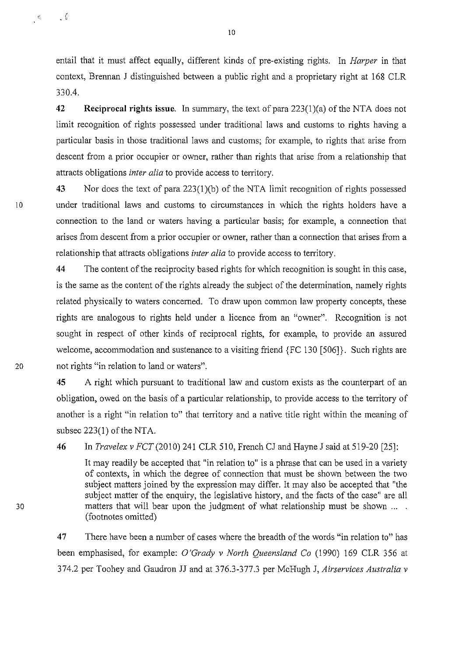entail that it must affect equally, different kinds of pre-existing rights. In *Harper* in that context, Brennan J distinguished between a public right and a proprietary right at 168 CLR 330.4.

**42 Reciprocal rights issue.** In summary, the text of para 223(l)(a) of the NTA does not limit recognition of rights possessed under traditional laws and customs to rights having a particular basis in those traditional laws and customs; for example, to rights that arise from descent from a prior occupier or owner, rather than rights that arise from a relationship that attracts obligations *inter alia* to provide access to territory.

**43** Nor does the text of para 223(l)(b) of the NTA limit recognition of rights possessed 10 under traditional laws and customs to circumstances in which the rights holders have a connection to the land or waters having a particular basis; for example, a connection that arises from descent from a prior occupier or owner, rather than a connection that arises from a relationship that attracts obligations *inter alia* to provide access to territory.

**44** The content of the reciprocity based rights for which recognition is sought in this case, is the same as the content of the rights already the subject of the determination, namely rights related physically to waters concerned. To draw upon common law property concepts, these rights are analogous to rights held under a licence from an "owner". Recognition is not sought in respect of other kinds of reciprocal rights, for example, to provide an assured welcome, accommodation and sustenance to a visiting friend {FC 130 [506]}. Such rights are 20 not rights "in relation to land or waters".

> **45** A right which pursuant to traditional law and custom exists as the counterpart of an obligation, owed on the basis of a particular relationship, to provide access to the territory of another is a right "in relation to" that territory and a native title right within the meaning of subsec  $223(1)$  of the NTA.

**46** In *Travelex v FCT* (2010) 241 CLR 510, French CJ and Hayne J said at 519-20 [25]:

It may readily be accepted that "in relation to" is a phrase that can be used in a variety of contexts, in which the degree of connection that must be shown between the two subject matters joined by the expression may differ. It may also be accepted that "the subject matter of the enquiry, the legislative history, and the facts of the case" are all matters that will bear upon the judgment of what relationship must be shown ... . (footnotes omitted)

**47**  There have been a number of cases where the breadth of the words "in relation to" has been emphasised, for example: *O'Grady v North Queensland Co* (1990) 169 CLR 356 at 374.2 per Toohey and Gaudron JJ and at 376.3-377.3 per McHugh J, *Airservices Australia v* 

10

. (

 $\mathbb{S}^{\prime}_{\omega}$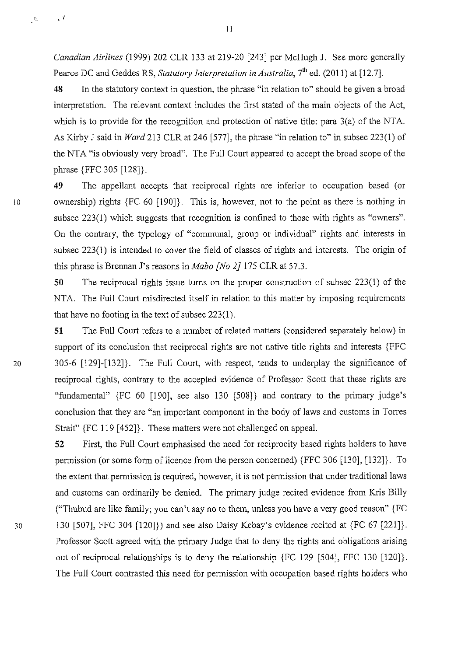*Canadian Airlines* (1999) 202 CLR 133 at 219-20 [243] per McHugh J. See more generally Pearce DC and Geddes RS, *Statutory Interpretation in Australia*, 7<sup>th</sup> ed. (2011) at [12.7].

48 In the statutory context in question, the phrase "in relation to" should be given a broad interpretation. The relevant context includes the first stated of the main objects of the Act, which is to provide for the recognition and protection of native title: para 3(a) of the NTA. As Kirby J said in *Ward* 213 CLR at 246 [577], the phrase "in relation to" in subsec 223(1) of the NTA "is obviously very broad". The Full Court appeared to accept the broad scope of the phrase {FFC 305 [128]}.

49 The appellant accepts that reciprocal rights are inferior to occupation based (or 10 ownership) rights {FC 60 [190]}. This is, however, not to the point as there is nothing in subsec 223(1) which suggests that recognition is confined to those with rights as "owners". On the contrary, the typology of "communal, group or individual" rights and interests in subsec 223(1) is intended to cover the field of classes of rights and interests. The origin of this phrase is Brennan J's reasons in *Mabo [No 2}* 175 CLR at 57.3.

> 50 The reciprocal rights issue turns on the proper construction of subsec 223(1) of the NTA. The Full Court misdirected itself in relation to this matter by imposing requirements that have no footing in the text of subsec  $223(1)$ .

51 The Full Court refers to a number of related matters (considered separately below) in support of its conclusion that reciprocal rights are not native title rights and interests {FFC 20 305-6 [129]-[132]}. The Full Court, with respect, tends to underplay the significance of reciprocal rights, contrary to the accepted evidence of Professor Scott that these rights are "fundamental" {FC 60 [190], see also 130 [508]} and contrary to the primary judge's conclusion that they are "an important component in the body of laws and customs in Torres Strait" {FC 119 [452]}. These matters were not challenged on appeal.

52 First, the Full Court emphasised the need for reciprocity based rights holders to have permission (or some form of licence from the person concerned) {FFC 306 [130], [132]}. To the extent that permission is required, however, it is not permission that under traditional laws and customs can ordinarily be denied. The primary judge recited evidence from Kris Billy ("Thubud are like family; you can't say no to them, unless you have a very good reason" {FC 30 130 [507], FFC 304 [120]}) and see also Daisy Kebay's evidence recited at {FC 67 [221]}. Professor Scott agreed with the primary Judge that to deny the rights and obligations arising out of reciprocal relationships is to deny the relationship {FC 129 [504], FFC 130 [120]}. The Full Court contrasted this need for permission with occupation based rights holders who

*\Z* • I'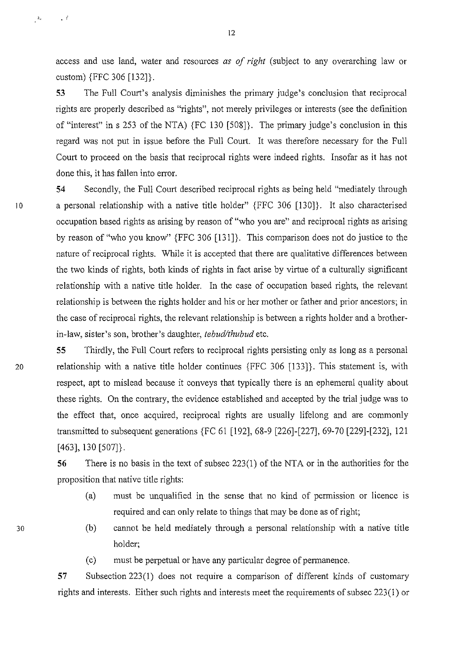access and use land, water and resources *as of right* (subject to any overarching law or custom) {FFC 306 [132]}.

53 The Full Court's analysis diminishes the primary judge's conclusion that reciprocal rights are properly described as "rights", not merely privileges or interests (see the definition of "interest" ins 253 of the NTA) {FC 130 [508]}. The primary judge's conclusion in this regard was not put in issue before the Full Court. It was therefore necessary for the Full Court to proceed on the basis that reciprocal rights were indeed rights. Insofar as it has not done this, it has fallen into error.

**54** Secondly, the Full Court described reciprocal rights as being held "mediately through 10 a personal relationship with a native title holder" {FFC 306 [130]}. It also characterised occupation based rights as arising by reason of "who you are" and reciprocal rights as arising by reason of "who you know" {FFC 306 [131]}. This comparison does not do justice to the nature of reciprocal rights. While it is accepted that there are qualitative differences between the two kinds of rights, both kinds of rights in fact arise by virtue of a culturally significant relationship with a native title holder. In the case of occupation based rights, the relevant relationship is between the rights holder and his or her mother or father and prior ancestors; in the case of reciprocal rights, the relevant relationship is between a rights holder and a brotherin-law, sister's son, brother's daughter, *tebud/thubud* etc.

**55** Thirdly, the Full Court refers to reciprocal rights persisting only as long as a personal 20 relationship with a native title holder continues {FFC 306 [133]}. This statement is, with respect, apt to mislead because it conveys that typically there is an ephemeral quality about these rights. On the contrary, the evidence established and accepted by the trial judge was to the effect that, once acquired, reciprocal rights are usually lifelong and are commonly transmitted to subsequent generations {FC 61 [192], 68-9 [226]-[227], 69-70 [229]-[232], 121 [463], 130 [507]}.

> **56** There is no basis in the text of subsec 223(1) of the NTA or in the authorities for the proposition that native title rights:

- (a) must be unqualified in the sense that no kind of permission or licence 1s required and can only relate to things that may be done as of right;
- (b) cannot be held mediately through a personal relationship with a native title holder;

(c) must be perpetual or have any particular degree of permanence.

57 Subsection 223(1) does not require a comparison of different kinds of customary rights and interests. Either such rights and interests meet the requirements of subsec  $223(1)$  or

12

 $\hat{z}_i$ 

 $\sim t$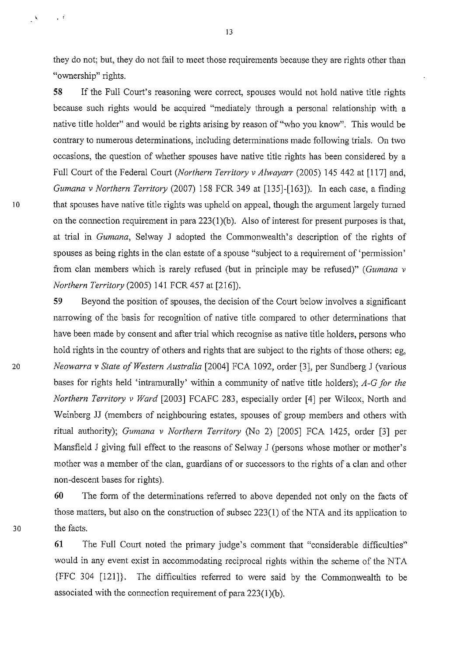they do not; but, they do not fail to meet those requirements because they are rights other than "ownership" rights.

58 If the Full Court's reasoning were correct, spouses would not hold native title rights because such rights would be acquired "mediately through a personal relationship with a native title holder" and would be rights arising by reason of "who you know". This would be contrary to numerous determinations, including determinations made following trials. On two occasions, the question of whether spouses have native title rights has been considered by a Full Court of the Federal Court *(Northern Territory v Alwayarr* (2005) 145 442 at [117] and, *Gumana v Northern Territory* (2007) 158 FCR 349 at [135]-[163]). In each case, a finding 10 that spouses have native title rights was upheld on appeal, though the argument largely turned on the connection requirement in para 223(1)(b). Also of interest for present purposes is that, at trial in *Gumana,* Selway J adopted the Commonwealth's description of the rights of spouses as being rights in the clan estate of a spouse "subject to a requirement of 'permission' from clan members which is rarely refused (but in principle may be refused)" *(Gumana v Northern Territory* (2005) 141 FCR 457 at [216]).

59 Beyond the position of spouses, the decision of the Court below involves a significant narrowing of the basis for recognition of native title compared to other determinations that have been made by consent and after trial which recognise as native title holders, persons who hold rights in the country of others and rights that are subject to the rights of those others: eg, <sup>20</sup>*Neowarra v State of Western Australia* [2004] FCA 1092, order [3], per Sundberg J (various bases for rights held 'intramurally' within a community of native title holders); *A-G for the Northern Territory v Ward* [2003] FCAFC 283, especially order [4] per Wilcox, North and Weinberg JJ (members of neighbouring estates, spouses of group members and others with ritual authority); *Gumana v Northern Territory* (No 2) [2005] FCA 1425, order [3] per Mansfield J giving full effect to the reasons of Selway J (persons whose mother or mother's mother was a member of the clan, guardians of or successors to the rights of a clan and other non-descent bases for rights).

60 The form of the determinations referred to above depended not only on the facts of those matters, but also on the construction of subsec 223(1) of the NTA and its application to 30 the facts.

> 61 The Full Court noted the primary judge's comment that "considerable difficulties" would in any event exist in accommodating reciprocal rights within the scheme of the NT A {FFC 304 [121]}. The difficulties referred to were said by the Commonwealth to be associated with the connection requirement of para 223(1 )(b).

 $\overline{\phantom{a}}$ 

 $\sim$   $\beta$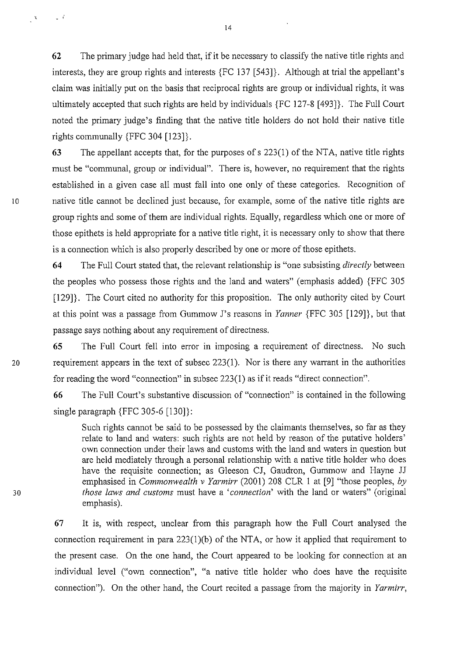62 The primary judge had held that, if it be necessary to classify the native title rights and interests, they are group rights and interests {FC 137 [543]}. Although at trial the appellant's claim was initially put on the basis that reciprocal rights are group or individual rights, it was ultimately accepted that such rights are held by individuals {FC 127-8 [493]}. The Full Court noted the primary judge's finding that the native title holders do not hold their native title rights communally {FFC 304 [123]}.

63 The appellant accepts that, for the purposes ofs 223(1) of the NTA, native title rights must be "communal, group or individual". There is, however, no requirement that the rights established in a given case all must fall into one only of these categories. Recognition of 10 has native title cannot be declined just because, for example, some of the native title rights are group rights and some of them are individual rights. Equally, regardless which one or more of those epithets is held appropriate for a native title right, it is necessary only to show that there is a connection which is also properly described by one or more of those epithets.

> 64 The Full Court stated that, the relevant relationship is "one subsisting *directly* between the peoples who possess those rights and the land and waters" (emphasis added) {FFC 305 [129]}. The Court cited no authority for this proposition. The only authority cited by Court at this point was a passage from Gummow J's reasons in *Yanner* {FFC 305 [129]}, but that passage says nothing about any requirement of directness.

65 The Full Court fell into error in imposing a requirement of directness. No such 20 requirement appears in the text of subsec 223(1). Nor is there any warrant in the authorities for reading the word "connection" in subsec 223(1) as if it reads "direct connection".

> 66 The Full Court's substantive discussion of "connection" is contained in the following single paragraph {FFC 305-6 [130]}:

Such rights cannot be said to be possessed by the claimants themselves, so far as they relate to land and waters: such rights are not held by reason of the putative holders' own connection under their laws and customs with the land and waters in question but are held mediately through a personal relationship with a native title holder who does have the requisite connection; as Gleeson CJ, Gaudron, Gummow and Hayne JJ emphasised in *Commonwealth v Yarmirr* (2001) 208 CLR I at [9] "those peoples, *by those laws and customs* must have a *'connection'* with the land or waters" (original emphasis).

67 It is, with respect, unclear from this paragraph how the Full Court analysed the connection requirement in para 223(1)(b) of the NTA, or how it applied that requirement to the present case. On the one hand, the Court appeared to be looking for connection at an individual level ("own connection", "a native title holder who does have the requisite connection"). On the other hand, the Court recited a passage from the majority in *Yarmirr,* 

14

 $\mathbb{R}^{\mathbb{Z}}$ 

 $\mathbf{v}$  .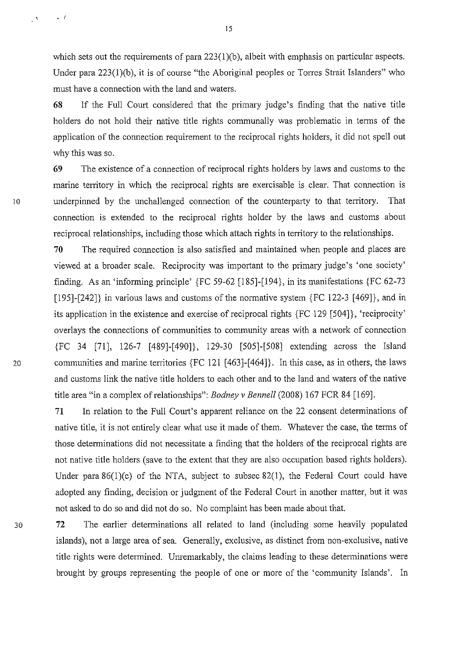which sets out the requirements of para  $223(1)(b)$ , albeit with emphasis on particular aspects. Under para 223(1)(b), it is of course "the Aboriginal peoples or Torres Strait Islanders" who must have a connection with the land and waters.

68 If the Full Court considered that the primary judge's finding that the native title holders do not hold their native title rights communally was problematic in terms of the application of the connection requirement to the reciprocal rights holders, it did not spell out why this was so.

69 The existence of a connection of reciprocal rights holders by laws and customs to the marine territory in which the reciprocal rights are exercisable is clear. That connection is 10 underpinned by the unchallenged connection of the counterparty to that territory. That connection is extended to the reciprocal rights holder by the laws and customs about reciprocal relationships, including those which attach rights in territory to the relationships.

70 The required connection is also satisfied and maintained when people and places are viewed at a broader scale. Reciprocity was important to the primary judge's 'one society' finding. As an 'informing principle' {FC 59-62 [185]-[194}, in its manifestations {FC 62-73 [195]-[242]} in various laws and customs of the normative system {FC 122-3 [469]}, and in its application in the existence and exercise of reciprocal rights {FC 129 [504]}, 'reciprocity' overlays the connections of communities to community areas with a network of connection {FC 34 [71], 126-7 [489]-[490]}, 129-30 [505]-[508] extending across the Island 20 communities and marine territories {FC 121 [463]-[464]}. In this case, as in others, the laws and customs link the native title holders to each other and to the land and waters of the native title area "in a complex of relationships": *Bodney v Bennell* (2008) 167 FCR 84 [169].

> 71 In relation to the Full Court's apparent reliance on the 22 consent determinations of native title, it is not entirely clear what use it made of them. Whatever the case, the terms of those determinations did not necessitate a finding that the holders of the reciprocal rights are not native title holders (save to the extent that they are also occupation based rights holders). Under para 86(1)(c) of the NTA, subject to subsec 82(1), the Federal Court could have adopted any finding, decision or judgment of the Federal Court in another matter, but it was not asked to do so and did not do so. No complaint has been made about that.

30 72 The earlier determinations all related to land (including some heavily populated islands), not a large area of sea. Generally, exclusive, as distinct from non-exclusive, native title rights were determined. Unremarkably, the claims leading to these determinations were brought by groups representing the people of one or more of the 'community Islands'. In

 $\cdot$   $\cdot$   $\cdot$   $\cdot$   $\cdot$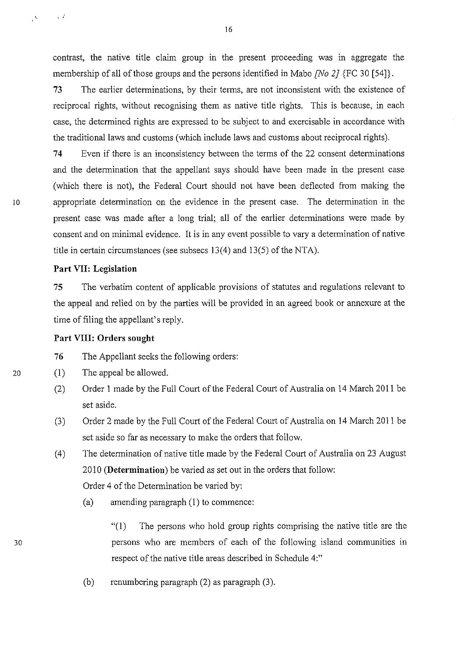contrast, the native title claim group in the present proceeding was in aggregate the membership of all of those groups and the persons identified in Mabo *[No 2}* {FC 30 [54]}.

73 The earlier determinations, by their terms, are not inconsistent with the existence of reciprocal rights, without recognising them as native title rights. This is because, in each case, the determined rights are expressed to be subject to and exercisable in accordance with the traditional laws and customs (which include laws and customs about reciprocal rights).

**74** Even if there is an inconsistency between the terms of the 22 consent detenninations and the determination that the appellant says should have been made in the present case (which there is not), the Federal Court should not have been deflected from making the 10 appropriate determination on the evidence in the present case. The determination in the present case was made after a long trial; all of the earlier determinations were made by consent and on minimal evidence. It is in any event possible to vary a determination of native title in certain circumstances (see subsecs 13(4) and 13(5) of the NTA).

## **Part VII: Legislation**

75 The verbatim content of applicable provisions of statutes and regulations relevant to the appeal and relied on by the parties will be provided in an agreed book or annexure at the time of filing the appellant's reply.

## **Part VIII: Orders sought**

76 The Appellant seeks the following orders:

- (I) The appeal be allowed.
- (2) Order I made by the Full Court of the Federal Court of Australia on 14 March 2011 be set aside.
- (3) Order 2 made by the Full Court of the Federal Court of Australia on 14 March 20 II be set aside so far as necessary to make the orders that follow.
- (4) The determination of native title made by the Federal Court of Australia on 23 August 2010 **(Determination)** be varied as set out in the orders that follow: Order 4 of the Determination be varied by:
	- (a) amending paragraph(!) to commence:
		- "(I) The persons who hold group rights comprising the native title are the persons who are members of each of the following island communities in respect of the native title areas described in Schedule 4:"
	- (b) renumbering paragraph (2) as paragraph (3).

16

 $\mathbf{x}^{\prime}$  . <br> <br> . <br> <br> <br> <br> <br> <br> <br> <br> <br> <br><br><br><br> <br><br><br>